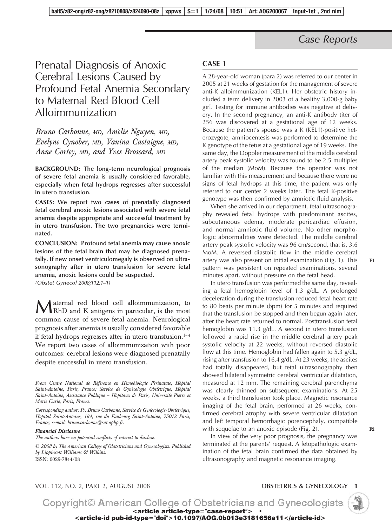## *Case Reports*

# Prenatal Diagnosis of Anoxic Cerebral Lesions Caused by Profound Fetal Anemia Secondary to Maternal Red Blood Cell Alloimmunization

### *Bruno Carbonne, MD, Ame´lie Nguyen, MD, Evelyne Cynober, MD, Vanina Castaigne, MD, Anne Cortey, MD, and Yves Brossard, MD*

**BACKGROUND: The long-term neurological prognosis of severe fetal anemia is usually considered favorable, especially when fetal hydrops regresses after successful in utero transfusion.**

**CASES: We report two cases of prenatally diagnosed fetal cerebral anoxic lesions associated with severe fetal anemia despite appropriate and successful treatment by in utero transfusion. The two pregnancies were terminated.**

**CONCLUSION: Profound fetal anemia may cause anoxic lesions of the fetal brain that may be diagnosed prenatally. If new onset ventriculomegaly is observed on ultrasonography after in utero transfusion for severe fetal anemia, anoxic lesions could be suspected.**

*(Obstet Gynecol 2008;112:1–1)*

Maternal red blood cell alloimmunization, to RhD and K antigens in particular, is the most common cause of severe fetal anemia. Neurological prognosis after anemia is usually considered favorable if fetal hydrops regresses after in utero transfusion. $1-4$ We report two cases of alloimmunization with poor outcomes: cerebral lesions were diagnosed prenatally despite successful in utero transfusion.

*Financial Disclosure The authors have no potential conflicts of interest to disclose.*

*© 2008 by The American College of Obstetricians and Gynecologists. Published by Lippincott Williams & Wilkins.* ISSN: 0029-7844/08

#### **CASE 1**

A 28-year-old woman (para 2) was referred to our center in 2005 at 21 weeks of gestation for the management of severe anti-K alloimmunization (KEL1). Her obstetric history included a term delivery in 2003 of a healthy 3,000-g baby girl. Testing for immune antibodies was negative at delivery. In the second pregnancy, an anti-K antibody titer of 256 was discovered at a gestational age of 12 weeks. Because the patient's spouse was a K (KEL1)-positive heterozygote, amniocentesis was performed to determine the K genotype of the fetus at a gestational age of 19 weeks. The same day, the Doppler measurement of the middle cerebral artery peak systolic velocity was found to be 2.5 multiples of the median (MoM). Because the operator was not familiar with this measurement and because there were no signs of fetal hydrops at this time, the patient was only referred to our center 2 weeks later. The fetal K-positive genotype was then confirmed by amniotic fluid analysis.

When she arrived in our department, fetal ultrasonography revealed fetal hydrops with predominant ascites, subcutaneous edema, moderate pericardiac effusion, and normal amniotic fluid volume. No other morphologic abnormalities were detected. The middle cerebral artery peak systolic velocity was 96 cm/second, that is, 3.6 MoM. A reversed diastolic flow in the middle cerebral artery was also present on initial examination (Fig. 1). This pattern was persistent on repeated examinations, several minutes apart, without pressure on the fetal head.

In utero transfusion was performed the same day, revealing a fetal hemoglobin level of 1.3 g/dL. A prolonged deceleration during the transfusion reduced fetal heart rate to 80 beats per minute (bpm) for 5 minutes and required that the transfusion be stopped and then begun again later, after the heart rate returned to normal. Posttransfusion fetal hemoglobin was 11.3 g/dL. A second in utero transfusion followed a rapid rise in the middle cerebral artery peak systolic velocity at 22 weeks, without reversed diastolic flow at this time. Hemoglobin had fallen again to 5.3 g/dL, rising after transfusion to 16.4 g/dL. At 23 weeks, the ascites had totally disappeared, but fetal ultrasonography then showed bilateral symmetric cerebral ventricular dilatation, measured at 12 mm. The remaining cerebral parenchyma was clearly thinned on subsequent examinations. At 25 weeks, a third transfusion took place. Magnetic resonance imaging of the fetal brain, performed at 26 weeks, confirmed cerebral atrophy with severe ventricular dilatation and left temporal hemorrhagic porencephaly, compatible with sequelae to an anoxic episode (Fig. 2).

In view of the very poor prognosis, the pregnancy was terminated at the parents' request. A fetopathologic examination of the fetal brain confirmed the data obtained by ultrasonography and magnetic resonance imaging.

VOL. 112, NO. 2, PART 2, AUGUST 2008 **OBSTETRICS & GYNECOLOGY 1**



**F1**

**F2**

From Centre National de Reference en Hemobiologie Perinatale, Hopital Saint-Antoine, Paris, France; Service de Gynecologie Obstetrique, Hopital Saint-Antoine, Assistance Publique - Hôpitaux de Paris, Universite Pierre et *Marie Curie, Paris, France.*

*Corresponding author: Pr. Bruno Carbonne, Service de Gyne´cologie-Obste´trique, Hoˆpital Saint-Antoine, 184, rue du Faubourg Saint-Antoine, 75012 Paris, France; e-mail: bruno.carbonne@sat.aphp.fr.*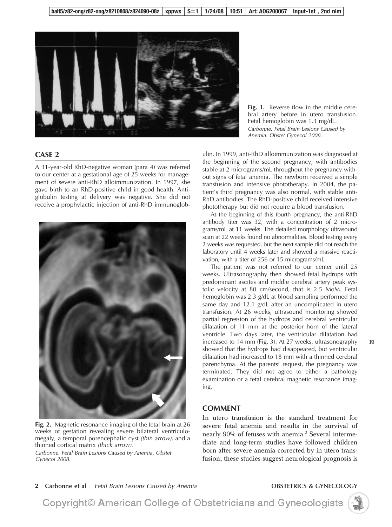

#### **CASE 2**

A 31-year-old RhD-negative woman (para 4) was referred to our center at a gestational age of 25 weeks for management of severe anti-RhD alloimmunization. In 1997, she gave birth to an RhD-positive child in good health. Antiglobulin testing at delivery was negative. She did not receive a prophylactic injection of anti-RhD immunoglob-



**Fig. 2.** Magnetic resonance imaging of the fetal brain at 26 weeks of gestation revealing severe bilateral ventriculomegaly, a temporal porencephalic cyst *(thin arrow)*, and a thinned cortical matrix *(thick arrow)*.

*Carbonne. Fetal Brain Lesions Caused by Anemia. Obstet Gynecol 2008.*

**Fig. 1.** Reverse flow in the middle cerebral artery before in utero transfusion. Fetal hemoglobin was 1.3 mg/dL. *Carbonne. Fetal Brain Lesions Caused by Anemia. Obstet Gynecol 2008.*

ulin. In 1999, anti-RhD alloimmunization was diagnosed at the beginning of the second pregnancy, with antibodies stable at 2 micrograms/mL throughout the pregnancy without signs of fetal anemia. The newborn received a simple transfusion and intensive phototherapy. In 2004, the patient's third pregnancy was also normal, with stable anti-RhD antibodies. The RhD-positive child received intensive phototherapy but did not require a blood transfusion.

At the beginning of this fourth pregnancy, the anti-RhD antibody titer was 32, with a concentration of 2 micrograms/mL at 11 weeks. The detailed morphology ultrasound scan at 22 weeks found no abnormalities. Blood testing every 2 weeks was requested, but the next sample did not reach the laboratory until 4 weeks later and showed a massive reactivation, with a titer of 256 or 15 micrograms/mL.

The patient was not referred to our center until 25 weeks. Ultrasonography then showed fetal hydrops with predominant ascites and middle cerebral artery peak systolic velocity at 80 cm/second, that is 2.5 MoM. Fetal hemoglobin was 2.3 g/dL at blood sampling performed the same day and 12.1 g/dL after an uncomplicated in utero transfusion. At 26 weeks, ultrasound monitoring showed partial regression of the hydrops and cerebral ventricular dilatation of 11 mm at the posterior horn of the lateral ventricle. Two days later, the ventricular dilatation had increased to 14 mm (Fig. 3). At 27 weeks, ultrasonography showed that the hydrops had disappeared, but ventricular dilatation had increased to 18 mm with a thinned cerebral parenchyma. At the parents' request, the pregnancy was terminated. They did not agree to either a pathology examination or a fetal cerebral magnetic resonance imaging.

#### **COMMENT**

In utero transfusion is the standard treatment for severe fetal anemia and results in the survival of nearly 90% of fetuses with anemia.<sup>2</sup> Several intermediate and long-term studies have followed children born after severe anemia corrected by in utero transfusion; these studies suggest neurological prognosis is

**2 Carbonne et al** *Fetal Brain Lesions Caused by Anemia* **OBSTETRICS & GYNECOLOGY**

Copyright© American College of Obstetricians and Gynecologists



**F3**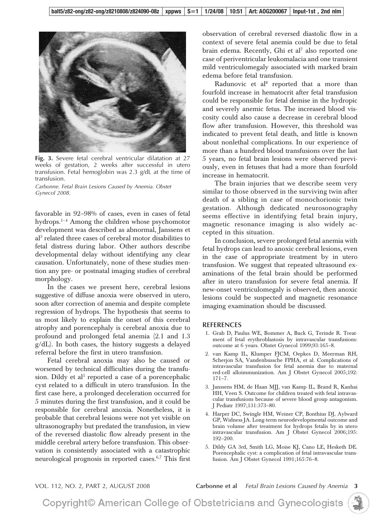

**Fig. 3.** Severe fetal cerebral ventricular dilatation at 27 weeks of gestation, 2 weeks after successful in utero transfusion. Fetal hemoglobin was 2.3 g/dL at the time of transfusion.

*Carbonne. Fetal Brain Lesions Caused by Anemia. Obstet Gynecol 2008.*

favorable in 92–98% of cases, even in cases of fetal hydrops.<sup>1-4</sup> Among the children whose psychomotor development was described as abnormal, Janssens et al3 related three cases of cerebral motor disabilities to fetal distress during labor. Other authors describe developmental delay without identifying any clear causation. Unfortunately, none of these studies mention any pre- or postnatal imaging studies of cerebral morphology.

In the cases we present here, cerebral lesions suggestive of diffuse anoxia were observed in utero, soon after correction of anemia and despite complete regression of hydrops. The hypothesis that seems to us most likely to explain the onset of this cerebral atrophy and porencephaly is cerebral anoxia due to profound and prolonged fetal anemia (2.1 and 1.3 g/dL). In both cases, the history suggests a delayed referral before the first in utero transfusion.

Fetal cerebral anoxia may also be caused or worsened by technical difficulties during the transfusion. Dildy et al<sup>5</sup> reported a case of a porencephalic cyst related to a difficult in utero transfusion. In the first case here, a prolonged deceleration occurred for 5 minutes during the first transfusion, and it could be responsible for cerebral anoxia. Nonetheless, it is probable that cerebral lesions were not yet visible on ultrasonography but predated the transfusion, in view of the reversed diastolic flow already present in the middle cerebral artery before transfusion. This observation is consistently associated with a catastrophic neurological prognosis in reported cases.6,7 This first observation of cerebral reversed diastolic flow in a context of severe fetal anemia could be due to fetal brain edema. Recently, Ghi et al<sup>7</sup> also reported one case of periventricular leukomalacia and one transient mild ventriculomegaly associated with marked brain edema before fetal transfusion.

Radunovic et al<sup>8</sup> reported that a more than fourfold increase in hematocrit after fetal transfusion could be responsible for fetal demise in the hydropic and severely anemic fetus. The increased blood viscosity could also cause a decrease in cerebral blood flow after transfusion. However, this threshold was indicated to prevent fetal death, and little is known about nonlethal complications. In our experience of more than a hundred blood transfusions over the last 5 years, no fetal brain lesions were observed previously, even in fetuses that had a more than fourfold increase in hematocrit.

The brain injuries that we describe seem very similar to those observed in the surviving twin after death of a sibling in case of monochorionic twin gestation. Although dedicated neurosonography seems effective in identifying fetal brain injury, magnetic resonance imaging is also widely accepted in this situation.

In conclusion, severe prolonged fetal anemia with fetal hydrops can lead to anoxic cerebral lesions, even in the case of appropriate treatment by in utero transfusion. We suggest that repeated ultrasound examinations of the fetal brain should be performed after in utero transfusion for severe fetal anemia. If new-onset ventriculomegaly is observed, then anoxic lesions could be suspected and magnetic resonance imaging examination should be discussed.

#### **REFERENCES**

- 1. Grab D, Paulus WE, Bommer A, Buck G, Terinde R. Treatment of fetal erythroblastosis by intravascular transfusions: outcome at 6 years. Obstet Gynecol 1999;93:165–8.
- 2. van Kamp IL, Klumper FJCM, Oepkes D, Meerman RH, Scherjon SA, Vandenbussche FPHA, et al. Complications of intravascular transfusion for fetal anemia due to maternal red-cell alloimmunization. Am J Obstet Gynecol 2005;192: 171–7.
- 3. Janssens HM, de Haan MJJ, van Kamp IL, Brand R, Kanhai HH, Veen S. Outcome for children treated with fetal intravascular transfusions because of severe blood group antagonism. J Pediatr 1997;131:373–80.
- 4. Harper DC, Swingle HM, Weiner CP, Bonthius DJ, Aylward GP, Widness JA. Long-term neurodevelopmental outcome and brain volume after treatment for hydrops fetalis by in utero intravascular transfusion. Am J Obstet Gynecol 2006;195: 192–200.
- 5. Dildy GA 3rd, Smith LG, Moise KJ, Cano LE, Hesketh DE. Porencephalic cyst: a complication of fetal intravascular transfusion. Am J Obstet Gynecol 1991;165:76–8.

VOL. 112, NO. 2, PART 2, AUGUST 2008 **Carbonne et al** *Fetal Brain Lesions Caused by Anemia* **3**

Copyright© American College of Obstetricians and Gynecologists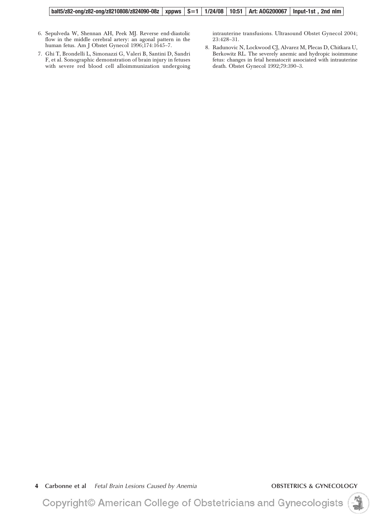**balt5/z82-ong/z82-ong/z8210808/z824090-08z xppws S1 1/24/08 10:51 Art: AOG200067 Input-1st , 2nd nlm**

- 6. Sepulveda W, Shennan AH, Peek MJ. Reverse end-diastolic flow in the middle cerebral artery: an agonal pattern in the human fetus. Am J Obstet Gynecol 1996;174:1645–7.
- 7. Ghi T, Brondelli L, Simonazzi G, Valeri B, Santini D, Sandri F, et al. Sonographic demonstration of brain injury in fetuses with severe red blood cell alloimmunization undergoing

intrauterine transfusions. Ultrasound Obstet Gynecol 2004; 23:428–31.

8. Radunovic N, Lockwood CJ, Alvarez M, Plecas D, Chitkara U, Berkowitz RL. The severely anemic and hydropic isoimmune fetus: changes in fetal hematocrit associated with intrauterine death. Obstet Gynecol 1992;79:390–3.

**4 Carbonne et al** *Fetal Brain Lesions Caused by Anemia* **OBSTETRICS & GYNECOLOGY**

Copyright© American College of Obstetricians and Gynecologists

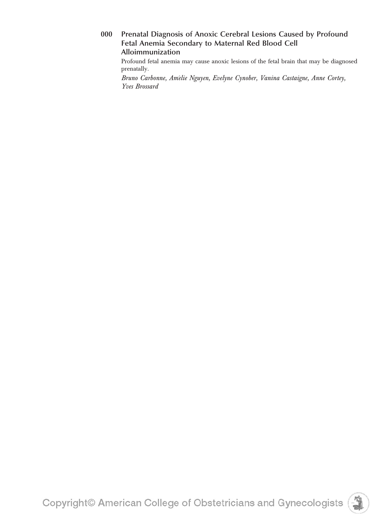**000 Prenatal Diagnosis of Anoxic Cerebral Lesions Caused by Profound Fetal Anemia Secondary to Maternal Red Blood Cell Alloimmunization**

Profound fetal anemia may cause anoxic lesions of the fetal brain that may be diagnosed prenatally.

*Bruno Carbonne, Ame´lie Nguyen, Evelyne Cynober, Vanina Castaigne, Anne Cortey, Yves Brossard*